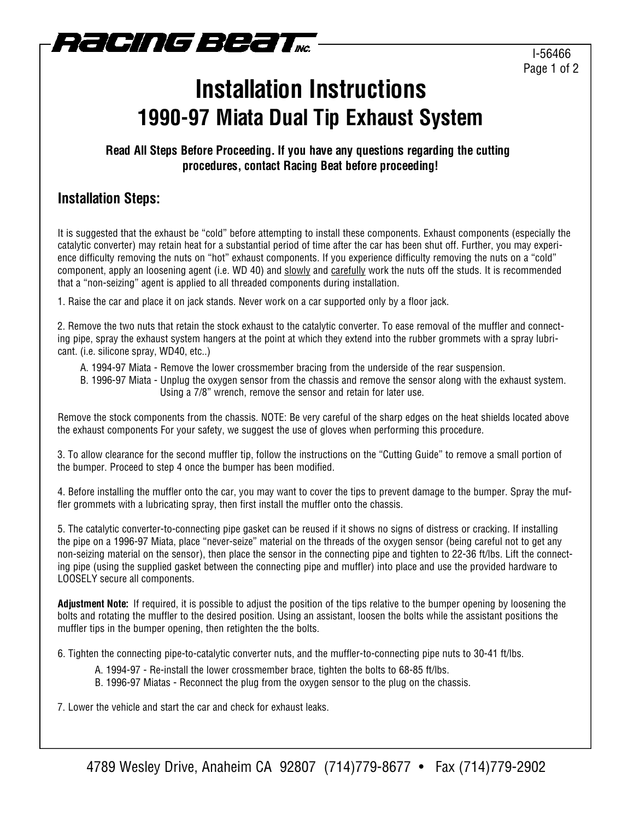

## **Installation Instructions 1990-97 Miata Dual Tip Exhaust System**

#### **Read All Steps Before Proceeding. If you have any questions regarding the cutting procedures, contact Racing Beat before proceeding!**

### **Installation Steps:**

It is suggested that the exhaust be "cold" before attempting to install these components. Exhaust components (especially the catalytic converter) may retain heat for a substantial period of time after the car has been shut off. Further, you may experience difficulty removing the nuts on "hot" exhaust components. If you experience difficulty removing the nuts on a "cold" component, apply an loosening agent (i.e. WD 40) and slowly and carefully work the nuts off the studs. It is recommended that a "non-seizing" agent is applied to all threaded components during installation.

1. Raise the car and place it on jack stands. Never work on a car supported only by a floor jack.

2. Remove the two nuts that retain the stock exhaust to the catalytic converter. To ease removal of the muffler and connecting pipe, spray the exhaust system hangers at the point at which they extend into the rubber grommets with a spray lubricant. (i.e. silicone spray, WD40, etc..)

- A. 1994-97 Miata Remove the lower crossmember bracing from the underside of the rear suspension.
- B. 1996-97 Miata Unplug the oxygen sensor from the chassis and remove the sensor along with the exhaust system. Using a 7/8" wrench, remove the sensor and retain for later use.

Remove the stock components from the chassis. NOTE: Be very careful of the sharp edges on the heat shields located above the exhaust components For your safety, we suggest the use of gloves when performing this procedure.

3. To allow clearance for the second muffler tip, follow the instructions on the "Cutting Guide" to remove a small portion of the bumper. Proceed to step 4 once the bumper has been modified.

4. Before installing the muffler onto the car, you may want to cover the tips to prevent damage to the bumper. Spray the muffler grommets with a lubricating spray, then first install the muffler onto the chassis.

5. The catalytic converter-to-connecting pipe gasket can be reused if it shows no signs of distress or cracking. If installing the pipe on a 1996-97 Miata, place "never-seize" material on the threads of the oxygen sensor (being careful not to get any non-seizing material on the sensor), then place the sensor in the connecting pipe and tighten to 22-36 ft/lbs. Lift the connecting pipe (using the supplied gasket between the connecting pipe and muffler) into place and use the provided hardware to LOOSELY secure all components.

**Adjustment Note:** If required, it is possible to adjust the position of the tips relative to the bumper opening by loosening the bolts and rotating the muffler to the desired position. Using an assistant, loosen the bolts while the assistant positions the muffler tips in the bumper opening, then retighten the the bolts.

6. Tighten the connecting pipe-to-catalytic converter nuts, and the muffler-to-connecting pipe nuts to 30-41 ft/lbs.

- A. 1994-97 Re-install the lower crossmember brace, tighten the bolts to 68-85 ft/lbs.
- B. 1996-97 Miatas Reconnect the plug from the oxygen sensor to the plug on the chassis.

7. Lower the vehicle and start the car and check for exhaust leaks.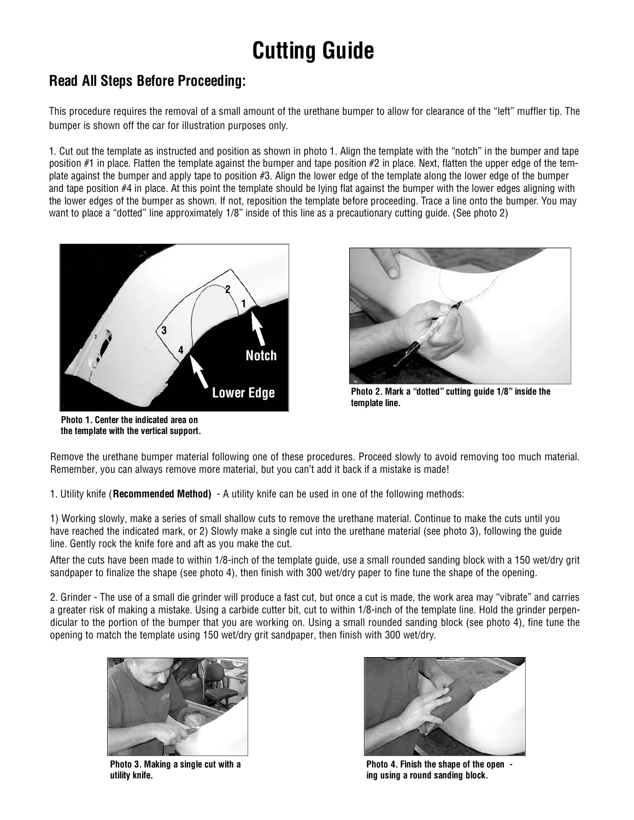# **Cutting Guide**

### **Read All Steps Before Proceeding:**

This procedure requires the removal of a small amount of the urethane bumper to allow for clearance of the "left" muffler tip. The bumper is shown off the car for illustration purposes only.

1. Cut out the template as instructed and position as shown in photo 1. Align the template with the "notch" in the bumper and tape position #1 in place. Flatten the template against the bumper and tape position #2 in place. Next, flatten the upper edge of the template against the bumper and apply tape to position #3. Align the lower edge of the template along the lower edge of the bumper and tape position  $#4$  in place. At this point the template should be lying flat against the bumper with the lower edges aligning with the lower edges of the bumper as shown. If not, reposition the template before proceeding. Trace a line onto the bumper. You may want to place a "dotted" line approximately  $1/8$ " inside of this line as a precautionary cutting quide. (See photo 2)



**Photo 1. Center the indicated area on the template with the vertical support.**



**Photo 2. Mark a "dotted" cutting guide 1/8" inside the template line.**

Remove the urethane bumper material following one of these procedures. Proceed slowly to avoid removing too much material. Remember, you can always remove more material, but you can't add it back if a mistake is made!

1. Utility knife (**Recommended Method)** - A utility knife can be used in one of the following methods:

1) Working slowly, make a series of small shallow cuts to remove the urethane material. Continue to make the cuts until you have reached the indicated mark, or 2) Slowly make a single cut into the urethane material (see photo 3), following the guide line. Gently rock the knife fore and aft as you make the cut.

After the cuts have been made to within 1/8-inch of the template guide, use a small rounded sanding block with a 150 wet/dry grit sandpaper to finalize the shape (see photo 4), then finish with 300 wet/dry paper to fine tune the shape of the opening.

2. Grinder - The use of a small die grinder will produce a fast cut, but once a cut is made, the work area may "vibrate" and carries a greater risk of making a mistake. Using a carbide cutter bit, cut to within 1/8-inch of the template line. Hold the grinder perpendicular to the portion of the bumper that you are working on. Using a small rounded sanding block (see photo 4), fine tune the opening to match the template using 150 wet/dry grit sandpaper, then finish with 300 wet/dry.



**Photo 3. Making a single cut with a utility knife.**



**Photo 4. Finish the shape of the open ing using a round sanding block.**